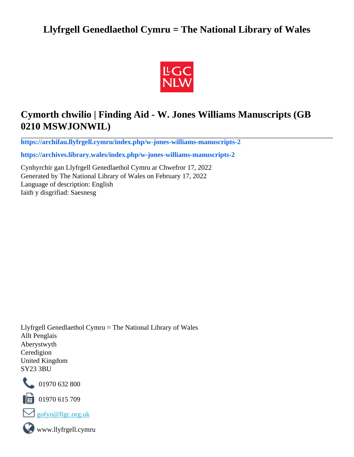## **Llyfrgell Genedlaethol Cymru = The National Library of Wales**



# **Cymorth chwilio | Finding Aid - W. Jones Williams Manuscripts (GB 0210 MSWJONWIL)**

**[https://archifau.llyfrgell.cymru/index.php/w-jones-williams-manuscripts-2](https://archifau.llyfrgell.cymru/index.php/w-jones-williams-manuscripts-2;isad?sf_culture=cy)**

**[https://archives.library.wales/index.php/w-jones-williams-manuscripts-2](https://archives.library.wales/index.php/w-jones-williams-manuscripts-2;isad?sf_culture=en)**

Cynhyrchir gan Llyfrgell Genedlaethol Cymru ar Chwefror 17, 2022 Generated by The National Library of Wales on February 17, 2022 Language of description: English Iaith y disgrifiad: Saesnesg

Llyfrgell Genedlaethol Cymru = The National Library of Wales Allt Penglais Aberystwyth Ceredigion United Kingdom SY23 3BU



101970 632 800

 $\blacksquare$  01970 615 709



www.llyfrgell.cymru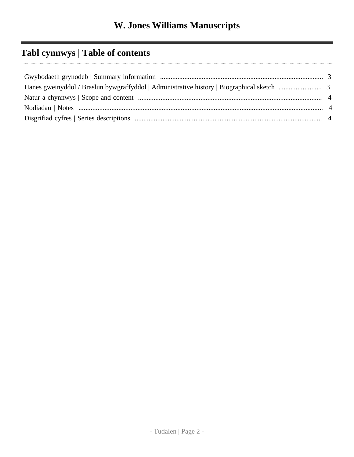# **Tabl cynnwys | Table of contents**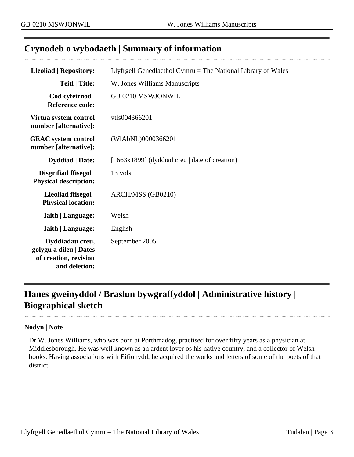## <span id="page-2-0"></span>**Crynodeb o wybodaeth | Summary of information**

| <b>Lleoliad   Repository:</b>                                                       | Llyfrgell Genedlaethol Cymru $=$ The National Library of Wales |
|-------------------------------------------------------------------------------------|----------------------------------------------------------------|
| <b>Teitl</b>   Title:                                                               | W. Jones Williams Manuscripts                                  |
| Cod cyfeirnod  <br><b>Reference code:</b>                                           | GB 0210 MSWJONWIL                                              |
| Virtua system control<br>number [alternative]:                                      | vtls004366201                                                  |
| <b>GEAC</b> system control<br>number [alternative]:                                 | (WIAbNL)0000366201                                             |
| <b>Dyddiad</b>   Date:                                                              | $[1663x1899]$ (dyddiad creu   date of creation)                |
| Disgrifiad ffisegol  <br><b>Physical description:</b>                               | 13 vols                                                        |
| Lleoliad ffisegol  <br><b>Physical location:</b>                                    | ARCH/MSS (GB0210)                                              |
| <b>Iaith   Language:</b>                                                            | Welsh                                                          |
| <b>Iaith   Language:</b>                                                            | English                                                        |
| Dyddiadau creu,<br>golygu a dileu   Dates<br>of creation, revision<br>and deletion: | September 2005.                                                |

# <span id="page-2-1"></span>**Hanes gweinyddol / Braslun bywgraffyddol | Administrative history | Biographical sketch**

#### **Nodyn | Note**

Dr W. Jones Williams, who was born at Porthmadog, practised for over fifty years as a physician at Middlesborough. He was well known as an ardent lover os his native country, and a collector of Welsh books. Having associations with Eifionydd, he acquired the works and letters of some of the poets of that district.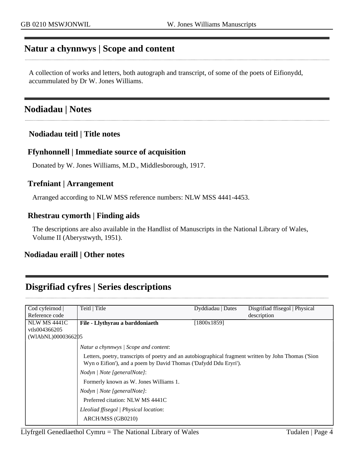### <span id="page-3-0"></span>**Natur a chynnwys | Scope and content**

A collection of works and letters, both autograph and transcript, of some of the poets of Eifionydd, accummulated by Dr W. Jones Williams.

### <span id="page-3-1"></span>**Nodiadau | Notes**

### **Nodiadau teitl | Title notes**

### **Ffynhonnell | Immediate source of acquisition**

Donated by W. Jones Williams, M.D., Middlesborough, 1917.

### **Trefniant | Arrangement**

Arranged according to NLW MSS reference numbers: NLW MSS 4441-4453.

### **Rhestrau cymorth | Finding aids**

The descriptions are also available in the Handlist of Manuscripts in the National Library of Wales, Volume II (Aberystwyth, 1951).

### **Nodiadau eraill | Other notes**

## <span id="page-3-2"></span>**Disgrifiad cyfres | Series descriptions**

| Cod cyfeirnod       | Teitl   Title                                                                                                                                                             | Dyddiadau   Dates | Disgrifiad ffisegol   Physical |
|---------------------|---------------------------------------------------------------------------------------------------------------------------------------------------------------------------|-------------------|--------------------------------|
| Reference code      |                                                                                                                                                                           |                   | description                    |
| <b>NLW MS 4441C</b> | File - Llythyrau a barddoniaeth                                                                                                                                           | [1800x1859]       |                                |
| vtls004366205       |                                                                                                                                                                           |                   |                                |
| (WIAbNL)0000366205  |                                                                                                                                                                           |                   |                                |
|                     | Natur a chynnwys / Scope and content:                                                                                                                                     |                   |                                |
|                     | Letters, poetry, transcripts of poetry and an autobiographical fragment written by John Thomas ('Sion<br>Wyn o Eifion'), and a poem by David Thomas ('Dafydd Ddu Eryri'). |                   |                                |
|                     | Nodyn / Note [generalNote]:                                                                                                                                               |                   |                                |
|                     | Formerly known as W. Jones Williams 1.                                                                                                                                    |                   |                                |
|                     | Nodyn   Note [generalNote]:                                                                                                                                               |                   |                                |
|                     | Preferred citation: NLW MS 4441C                                                                                                                                          |                   |                                |
|                     | Lleoliad ffisegol   Physical location:                                                                                                                                    |                   |                                |
|                     | ARCH/MSS (GB0210)                                                                                                                                                         |                   |                                |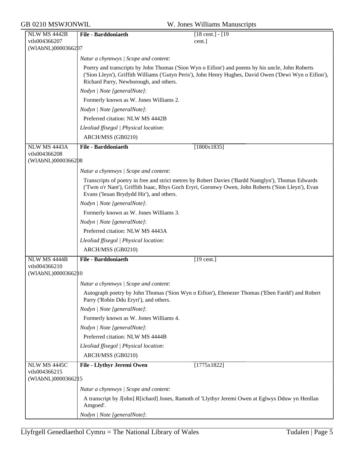GB 0210 MSWJONWIL W. Jones Williams Manuscripts

| NLW MS 4442B                         | <b>File - Barddoniaeth</b>               | $[18 \text{ cent.}] - [19$                                                                                                                                                                                  |
|--------------------------------------|------------------------------------------|-------------------------------------------------------------------------------------------------------------------------------------------------------------------------------------------------------------|
| vtls004366207                        |                                          | cent.]                                                                                                                                                                                                      |
| (WIAbNL)0000366207                   |                                          |                                                                                                                                                                                                             |
|                                      | Natur a chynnwys / Scope and content:    |                                                                                                                                                                                                             |
|                                      | Richard Parry, Newborough, and others.   | Poetry and transcripts by John Thomas ('Sion Wyn o Eifion') and poems by his uncle, John Roberts<br>('Sion Lleyn'), Griffith Williams ('Gutyn Peris'), John Henry Hughes, David Owen ('Dewi Wyn o Eifion'), |
|                                      | Nodyn   Note [generalNote]:              |                                                                                                                                                                                                             |
|                                      | Formerly known as W. Jones Williams 2.   |                                                                                                                                                                                                             |
|                                      | Nodyn   Note [generalNote]:              |                                                                                                                                                                                                             |
|                                      | Preferred citation: NLW MS 4442B         |                                                                                                                                                                                                             |
|                                      | Lleoliad ffisegol   Physical location:   |                                                                                                                                                                                                             |
|                                      | ARCH/MSS (GB0210)                        |                                                                                                                                                                                                             |
| NLW MS 4443A                         | <b>File - Barddoniaeth</b>               | [1800x1835]                                                                                                                                                                                                 |
| vtls004366208<br>(WIAbNL)0000366208  |                                          |                                                                                                                                                                                                             |
|                                      | Natur a chynnwys / Scope and content:    |                                                                                                                                                                                                             |
|                                      | Evans ('Ieuan Brydydd Hir'), and others. | Transcripts of poetry in free and strict metres by Robert Davies ('Bardd Nantglyn'), Thomas Edwards<br>('Twm o'r Nant'), Griffith Isaac, Rhys Goch Eryri, Goronwy Owen, John Roberts ('Sion Lleyn'), Evan   |
|                                      | Nodyn   Note [generalNote]:              |                                                                                                                                                                                                             |
|                                      | Formerly known as W. Jones Williams 3.   |                                                                                                                                                                                                             |
|                                      | Nodyn   Note [generalNote]:              |                                                                                                                                                                                                             |
|                                      | Preferred citation: NLW MS 4443A         |                                                                                                                                                                                                             |
|                                      | Lleoliad ffisegol   Physical location:   |                                                                                                                                                                                                             |
|                                      | ARCH/MSS (GB0210)                        |                                                                                                                                                                                                             |
| NLW MS 4444B                         | <b>File - Barddoniaeth</b>               | $[19$ cent.]                                                                                                                                                                                                |
| vtls004366210<br>(WIAbNL)0000366210  |                                          |                                                                                                                                                                                                             |
|                                      | Natur a chynnwys / Scope and content:    |                                                                                                                                                                                                             |
|                                      | Parry ('Robin Ddu Eryri'), and others.   | Autograph poetry by John Thomas ('Sion Wyn o Eifion'), Ebenezer Thomas ('Eben Fardd') and Robert                                                                                                            |
|                                      | Nodyn   Note [generalNote]:              |                                                                                                                                                                                                             |
|                                      | Formerly known as W. Jones Williams 4.   |                                                                                                                                                                                                             |
|                                      | Nodyn   Note [generalNote]:              |                                                                                                                                                                                                             |
|                                      | Preferred citation: NLW MS 4444B         |                                                                                                                                                                                                             |
|                                      | Lleoliad ffisegol   Physical location:   |                                                                                                                                                                                                             |
|                                      | ARCH/MSS (GB0210)                        |                                                                                                                                                                                                             |
| NLW MS 4445C                         | File - Llythyr Jeremi Owen               | [1775x1822]                                                                                                                                                                                                 |
| vtls004366215<br>(WIAbNL)00003662 15 |                                          |                                                                                                                                                                                                             |
|                                      | Natur a chynnwys / Scope and content:    |                                                                                                                                                                                                             |
|                                      | Amgoed'.                                 | A transcript by J[ohn] R[ichard] Jones, Ramoth of 'Llythyr Jeremi Owen at Eglwys Dduw yn Henllan                                                                                                            |
|                                      | Nodyn   Note [generalNote]:              |                                                                                                                                                                                                             |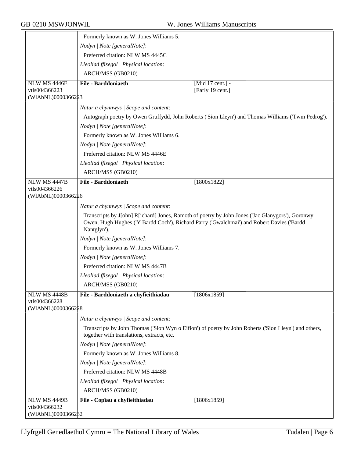|                                     | Formerly known as W. Jones Williams 5.     |                                                                                                                                                                                               |
|-------------------------------------|--------------------------------------------|-----------------------------------------------------------------------------------------------------------------------------------------------------------------------------------------------|
|                                     | Nodyn   Note [generalNote]:                |                                                                                                                                                                                               |
|                                     | Preferred citation: NLW MS 4445C           |                                                                                                                                                                                               |
|                                     | Lleoliad ffisegol   Physical location:     |                                                                                                                                                                                               |
|                                     | ARCH/MSS (GB0210)                          |                                                                                                                                                                                               |
| NLW MS 4446E                        | File - Barddoniaeth                        | [Mid 17 cent.] -                                                                                                                                                                              |
| vtls004366223                       |                                            | [Early 19 cent.]                                                                                                                                                                              |
| (WIAbNL)0000366223                  |                                            |                                                                                                                                                                                               |
|                                     | Natur a chynnwys / Scope and content:      |                                                                                                                                                                                               |
|                                     |                                            | Autograph poetry by Owen Gruffydd, John Roberts ('Sion Lleyn') and Thomas Williams ('Twm Pedrog').                                                                                            |
|                                     | Nodyn   Note [generalNote]:                |                                                                                                                                                                                               |
|                                     | Formerly known as W. Jones Williams 6.     |                                                                                                                                                                                               |
|                                     | Nodyn   Note [generalNote]:                |                                                                                                                                                                                               |
|                                     | Preferred citation: NLW MS 4446E           |                                                                                                                                                                                               |
|                                     | Lleoliad ffisegol   Physical location:     |                                                                                                                                                                                               |
|                                     | ARCH/MSS (GB0210)                          |                                                                                                                                                                                               |
| NLW MS 4447B                        | <b>File - Barddoniaeth</b>                 | [1800x1822]                                                                                                                                                                                   |
| vtls004366226                       |                                            |                                                                                                                                                                                               |
| (WIAbNL)0000366226                  |                                            |                                                                                                                                                                                               |
|                                     | Natur a chynnwys / Scope and content:      |                                                                                                                                                                                               |
|                                     | Nantglyn').                                | Transcripts by J[ohn] R[ichard] Jones, Ramoth of poetry by John Jones ('Jac Glanygors'), Goronwy<br>Owen, Hugh Hughes ('Y Bardd Coch'), Richard Parry ('Gwalchmai') and Robert Davies ('Bardd |
|                                     | Nodyn   Note [generalNote]:                |                                                                                                                                                                                               |
|                                     | Formerly known as W. Jones Williams 7.     |                                                                                                                                                                                               |
|                                     | Nodyn   Note [generalNote]:                |                                                                                                                                                                                               |
|                                     | Preferred citation: NLW MS 4447B           |                                                                                                                                                                                               |
|                                     | Lleoliad ffisegol   Physical location:     |                                                                                                                                                                                               |
|                                     | ARCH/MSS (GB0210)                          |                                                                                                                                                                                               |
| <b>NLW MS 4448B</b>                 | File - Barddoniaeth a chyfieithiadau       | [1806x1859]                                                                                                                                                                                   |
| vtls004366228<br>(WIAbNL)0000366228 |                                            |                                                                                                                                                                                               |
|                                     | Natur a chynnwys / Scope and content:      |                                                                                                                                                                                               |
|                                     | together with translations, extracts, etc. | Transcripts by John Thomas ('Sion Wyn o Eifion') of poetry by John Roberts ('Sion Lleyn') and others,                                                                                         |
|                                     | Nodyn   Note [generalNote]:                |                                                                                                                                                                                               |
|                                     | Formerly known as W. Jones Williams 8.     |                                                                                                                                                                                               |
|                                     | Nodyn   Note [generalNote]:                |                                                                                                                                                                                               |
|                                     | Preferred citation: NLW MS 4448B           |                                                                                                                                                                                               |
|                                     | Lleoliad ffisegol   Physical location:     |                                                                                                                                                                                               |
|                                     | ARCH/MSS (GB0210)                          |                                                                                                                                                                                               |
| NLW MS 4449B                        | File - Copïau a chyfieithiadau             | [1806x1859]                                                                                                                                                                                   |
| vtls004366232<br>(WIAbNL)0000366282 |                                            |                                                                                                                                                                                               |